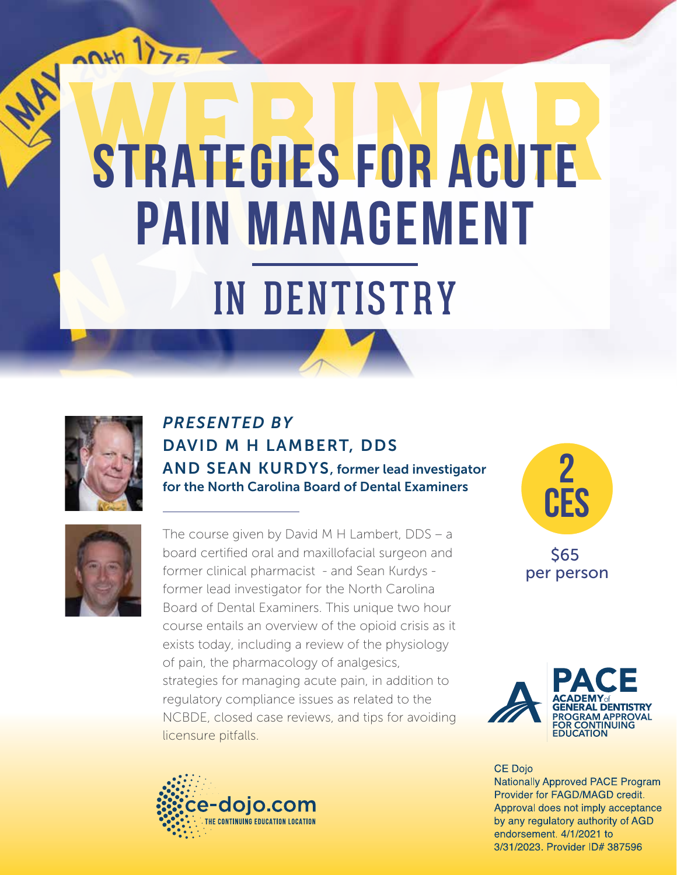# **STRATEGIES FOR ACUTE PAIN MANAGEMENT**  IN DENTISTRY



 $00 + 1775$ 

#### *PRESENTED BY* DAVID M H LAMBERT, DDS AND SEAN KURDYS, former lead investigator for the North Carolina Board of Dental Examiners



The course given by David M H Lambert, DDS – a board certified oral and maxillofacial surgeon and former clinical pharmacist - and Sean Kurdys former lead investigator for the North Carolina Board of Dental Examiners. This unique two hour course entails an overview of the opioid crisis as it exists today, including a review of the physiology of pain, the pharmacology of analgesics, strategies for managing acute pain, in addition to regulatory compliance issues as related to the NCBDE, closed case reviews, and tips for avoiding licensure pitfalls.



\$65 **2 CEs**

per person



**CE Dojo Nationally Approved PACE Program** Provider for FAGD/MAGD credit. Approval does not imply acceptance by any regulatory authority of AGD endorsement. 4/1/2021 to 3/31/2023. Provider ID# 387596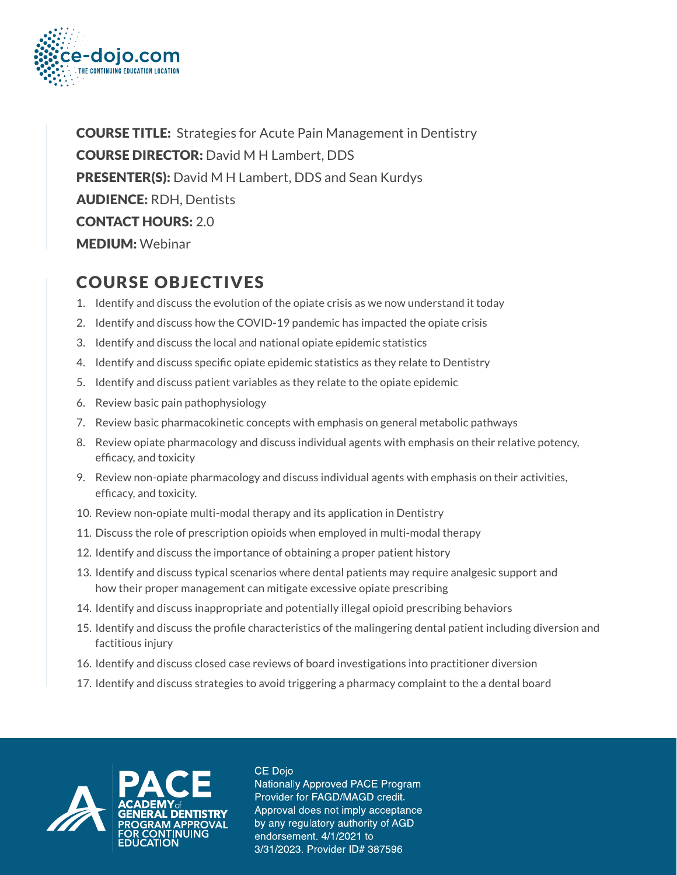

**COURSE TITLE:** Strategies for Acute Pain Management in Dentistry COURSE DIRECTOR: David M H Lambert, DDS PRESENTER(S): David M H Lambert, DDS and Sean Kurdys AUDIENCE: RDH, Dentists CONTACT HOURS: 2.0 MEDIUM: Webinar

### COURSE OBJECTIVES

- 1. Identify and discuss the evolution of the opiate crisis as we now understand it today
- 2. Identify and discuss how the COVID-19 pandemic has impacted the opiate crisis
- 3. Identify and discuss the local and national opiate epidemic statistics
- 4. Identify and discuss specific opiate epidemic statistics as they relate to Dentistry
- 5. Identify and discuss patient variables as they relate to the opiate epidemic
- 6. Review basic pain pathophysiology
- 7. Review basic pharmacokinetic concepts with emphasis on general metabolic pathways
- 8. Review opiate pharmacology and discuss individual agents with emphasis on their relative potency, efficacy, and toxicity
- 9. Review non-opiate pharmacology and discuss individual agents with emphasis on their activities, efficacy, and toxicity.
- 10. Review non-opiate multi-modal therapy and its application in Dentistry
- 11. Discuss the role of prescription opioids when employed in multi-modal therapy
- 12. Identify and discuss the importance of obtaining a proper patient history
- 13. Identify and discuss typical scenarios where dental patients may require analgesic support and how their proper management can mitigate excessive opiate prescribing
- 14. Identify and discuss inappropriate and potentially illegal opioid prescribing behaviors
- 15. Identify and discuss the profile characteristics of the malingering dental patient including diversion and factitious injury
- 16. Identify and discuss closed case reviews of board investigations into practitioner diversion
- 17. Identify and discuss strategies to avoid triggering a pharmacy complaint to the a dental board



CE Dojo Nationally Approved PACE Program Provider for FAGD/MAGD credit. Approval does not imply acceptance by any regulatory authority of AGD endorsement. 4/1/2021 to 3/31/2023. Provider ID# 387596